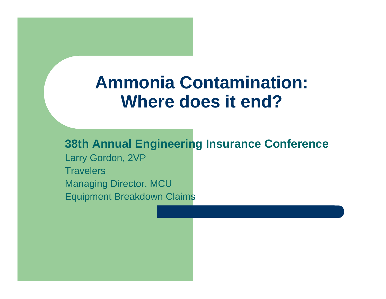# **Ammonia Contamination: Where does it end?**

**38th Annual Engineering Insurance Conference** Larry Gordon, 2VP **Travelers** Managing Director, MCU Equipment Breakdown Claims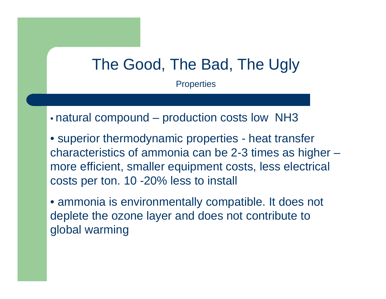## The Good, The Bad, The Ugly

**Properties** 

• natural compound – production costs low NH3

• superior thermodynamic properties - heat transfer characteristics of ammonia can be 2-3 times as higher – more efficient, smaller equipment costs, less electrical costs per ton. 10 -20% less to install

• ammonia is environmentally compatible. It does not deplete the ozone layer and does not contribute to global warming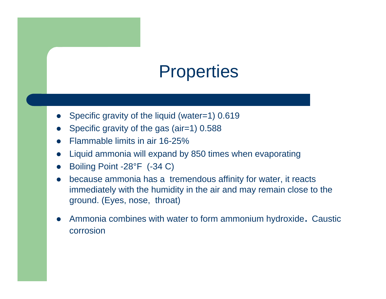# **Properties**

- $\bullet$ Specific gravity of the liquid (water=1) 0.619
- $\bullet$ Specific gravity of the gas (air=1) 0.588
- $\bullet$ Flammable limits in air 16-25%
- $\bullet$ Liquid ammonia will expand by 850 times when evaporating
- $\bullet$ Boiling Point -28°F (-34 C)
- $\bullet$  because ammonia has a tremendous affinity for water, it reacts immediately with the humidity in the air and may remain close to the ground. (Eyes, nose, throat)
- $\bullet$  Ammonia combines with water to form ammonium hydroxide. Caustic corrosion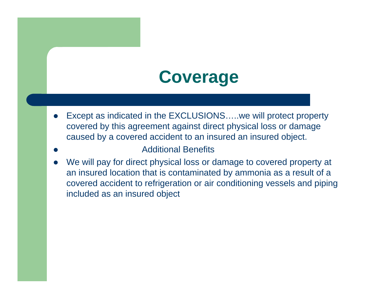# **Coverage**

- $\bullet$  Except as indicated in the EXCLUSIONS…..we will protect property covered by this agreement against direct physical loss or damage caused by a covered accident to an insured an insured object.
- $\bullet$ Additional Benefits
- $\bullet$  We will pay for direct physical loss or damage to covered property at an insured location that is contaminated by ammonia as a result of a covered accident to refrigeration or air conditioning vessels and piping included as an insured object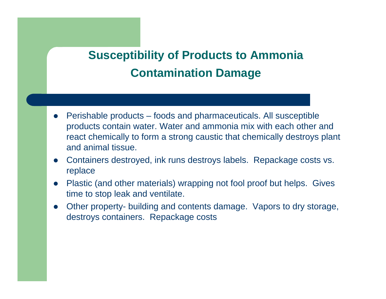#### **Susceptibility of Products to Ammonia Contamination Damage**

- $\bullet$  Perishable products – foods and pharmaceuticals. All susceptible products contain water. Water and ammonia mix with each other and react chemically to form a strong caustic that chemically destroys plant and animal tissue.
- $\bullet$  Containers destroyed, ink runs destroys labels. Repackage costs vs. replace
- $\bullet$  Plastic (and other materials) wrapping not fool proof but helps. Gives time to stop leak and ventilate.
- $\bullet$  Other property- building and contents damage. Vapors to dry storage, destroys containers. Repackage costs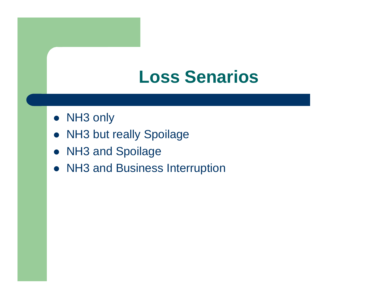## **Loss Senarios**

- NH3 only
- NH3 but really Spoilage
- NH3 and Spoilage
- NH3 and Business Interruption